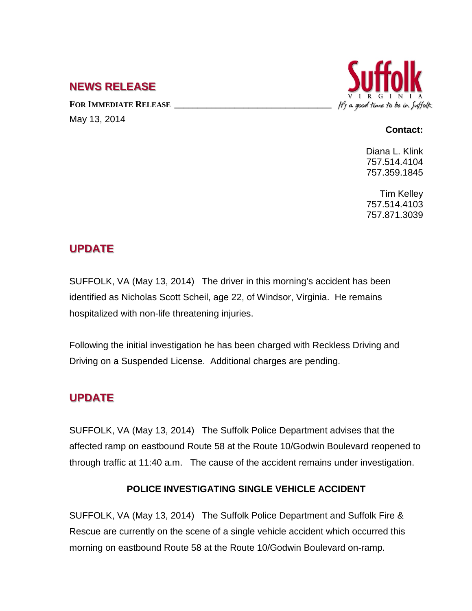## **NEWS RELEASE**

FOR IMMEDIATE RELEASE May 13, 2014



#### **Contact:**

Diana L. Klink 757.514.4104 757.359.1845

Tim Kelley 757.514.4103 757.871.3039

## **UPDATE**

SUFFOLK, VA (May 13, 2014) The driver in this morning's accident has been identified as Nicholas Scott Scheil, age 22, of Windsor, Virginia. He remains hospitalized with non-life threatening injuries.

Following the initial investigation he has been charged with Reckless Driving and Driving on a Suspended License. Additional charges are pending.

# **UPDATE**

SUFFOLK, VA (May 13, 2014) The Suffolk Police Department advises that the affected ramp on eastbound Route 58 at the Route 10/Godwin Boulevard reopened to through traffic at 11:40 a.m. The cause of the accident remains under investigation.

### **POLICE INVESTIGATING SINGLE VEHICLE ACCIDENT**

SUFFOLK, VA (May 13, 2014) The Suffolk Police Department and Suffolk Fire & Rescue are currently on the scene of a single vehicle accident which occurred this morning on eastbound Route 58 at the Route 10/Godwin Boulevard on-ramp.